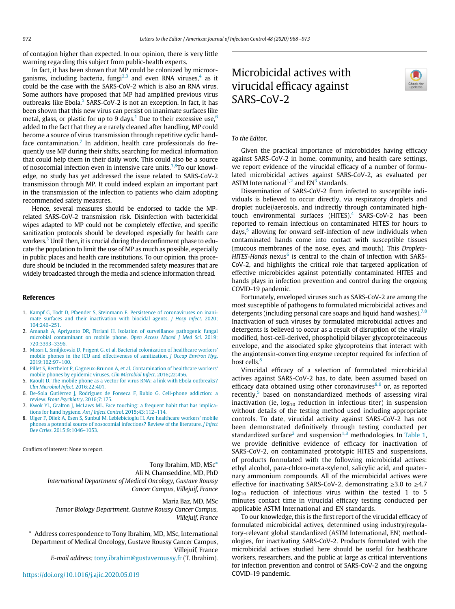of contagion higher than expected. In our opinion, there is very little warning regarding this subject from public-health experts.

In fact, it has been shown that MP could be colonized by microor-ganisms, including bacteria, fungi<sup>[2](#page-0-0),[3](#page-0-1)</sup> and even RNA viruses,<sup>[4](#page-0-2)</sup> as it could be the case with the SARS-CoV-2 which is also an RNA virus. Some authors have proposed that MP had amplified previous virus outbreaks like Ebola. $5$  SARS-CoV-2 is not an exception. In fact, it has been shown that this new virus can persist on inanimate surfaces like metal, glass, or plastic for up to 9 days.<sup>[1](#page-0-4)</sup> Due to their excessive use,<sup>[6](#page-0-5)</sup> added to the fact that they are rarely cleaned after handling, MP could become a source of virus transmission through repetitive cyclic hand-face contamination.<sup>[7](#page-0-6)</sup> In addition, health care professionals do frequently use MP during their shifts, searching for medical information that could help them in their daily work. This could also be a source of nosocomial infection even in intensive care units.<sup>[3](#page-0-1),[8](#page-0-7)</sup>To our knowledge, no study has yet addressed the issue related to SARS-CoV-2 transmission through MP. It could indeed explain an important part in the transmission of the infection to patients who claim adopting recommended safety measures.

Hence, several measures should be endorsed to tackle the MPrelated SARS-CoV-2 transmission risk. Disinfection with bactericidal wipes adapted to MP could not be completely effective, and specific sanitization protocols should be developed especially for health care workers. $3$  Until then, it is crucial during the deconfinment phase to educate the population to limit the use of MP as much as possible, especially in public places and health care institutions. To our opinion, this procedure should be included in the recommended safety measures that are widely broadcasted through the media and science information thread.

#### References

- <span id="page-0-4"></span>1. [Kampf G, Todt D, Pfaender S, Steinmann E. Persistence of coronaviruses on inani](http://refhub.elsevier.com/S0196-6553(20)30356-4/sbref0001_5553)[mate surfaces and their inactivation with biocidal agents.](http://refhub.elsevier.com/S0196-6553(20)30356-4/sbref0001_5553) *J Hosp Infect*. 2020; [104:246](http://refhub.elsevier.com/S0196-6553(20)30356-4/sbref0001_5553)–251.
- <span id="page-0-0"></span>2. [Amanah A, Apriyanto DR, Fitriani H. Isolation of surveillance pathogenic fungal](http://refhub.elsevier.com/S0196-6553(20)30356-4/sbref0002_5553) [microbial contaminant on mobile phone.](http://refhub.elsevier.com/S0196-6553(20)30356-4/sbref0002_5553) Open Access Maced J Med Sci. 2019; [720:3393](http://refhub.elsevier.com/S0196-6553(20)30356-4/sbref0002_5553)–3396.
- <span id="page-0-1"></span>3. [Missri L, Smiljkovski D, Prigent G, et al. Bacterial colonization of healthcare workers'](http://refhub.elsevier.com/S0196-6553(20)30356-4/sbref0003_5553) [mobile phones in the ICU and effectiveness of sanitization.](http://refhub.elsevier.com/S0196-6553(20)30356-4/sbref0003_5553) J Occup Environ Hyg. [2019;162:97](http://refhub.elsevier.com/S0196-6553(20)30356-4/sbref0003_5553)–100.
- <span id="page-0-2"></span>4. [Pillet S, Berthelot P, Gagneux-Brunon A, et al. Contamination of healthcare workers'](http://refhub.elsevier.com/S0196-6553(20)30356-4/sbref0004_5553) [mobile phones by epidemic viruses.](http://refhub.elsevier.com/S0196-6553(20)30356-4/sbref0004_5553) Clin Microbiol Infect. 2016;22:456.
- <span id="page-0-3"></span>5. [Raoult D. The mobile phone as a vector for virus RNA: a link with Ebola outbreaks?](http://refhub.elsevier.com/S0196-6553(20)30356-4/sbref0005_5553) [Clin Microbiol Infect](http://refhub.elsevier.com/S0196-6553(20)30356-4/sbref0005_5553). 2016;22:401.
- <span id="page-0-5"></span>6. [De-Sola Gutierrez J, Rodríguez de Fonseca F, Rubio G. Cell-phone addiction: a](http://refhub.elsevier.com/S0196-6553(20)30356-4/sbref0006_5553) review. [Front Psychiatry](http://refhub.elsevier.com/S0196-6553(20)30356-4/sbref0006_5553). 2016;7:175.
- <span id="page-0-6"></span>7. [Kwok YL, Gralton J, McLaws ML. Face touching: a frequent habit that has implica](http://refhub.elsevier.com/S0196-6553(20)30356-4/sbref0007_5553)[tions for hand hygiene.](http://refhub.elsevier.com/S0196-6553(20)30356-4/sbref0007_5553) Am J Infect Control. 2015;43:112–114.
- <span id="page-0-7"></span>8. [Ulger F, Dilek A, Esen S, Sunbul M, Leblebicioglu H. Are healthcare workers' mobile](http://refhub.elsevier.com/S0196-6553(20)30356-4/sbref0008_5553) [phones a potential source of nosocomial infections? Review of the literature.](http://refhub.elsevier.com/S0196-6553(20)30356-4/sbref0008_5553) J Infect Dev Ctries[. 2015;9:1046](http://refhub.elsevier.com/S0196-6553(20)30356-4/sbref0008_5553)–1053.

Conflicts of interest: None to report.

Tony Ibrahim, MD, MSc[\\*](#page-0-8) Ali N. Chamseddine, MD, PhD International Department of Medical Oncology, Gustave Roussy Cancer Campus, Villejuif, France

Maria Baz, MD, MSc

Tumor Biology Department, Gustave Roussy Cancer Campus, Villejuif, France

<span id="page-0-8"></span>\* Address correspondence to Tony Ibrahim, MD, MSc, International Department of Medical Oncology, Gustave Roussy Cancer Campus, Villejuif, France

E-mail address: [tony.ibrahim@gustaveroussy.fr](mailto:tony.ibrahim@gustaveroussy.fr ) (T. Ibrahim).

# Microbicidal actives with virucidal efficacy against SARS-CoV-2



### To the Editor,

Given the practical importance of microbicides having efficacy against SARS-CoV-2 in home, community, and health care settings, we report evidence of the virucidal efficacy of a number of formulated microbicidal actives against SARS-CoV-2, as evaluated per ASTM International<sup>[1](#page-1-0)[,2](#page-1-1)</sup> and  $EN^3$  $EN^3$  standards.

Dissemination of SARS-CoV-2 from infected to susceptible individuals is believed to occur directly, via respiratory droplets and droplet nuclei/aerosols, and indirectly through contaminated high-touch environmental surfaces (HITES).<sup>[4](#page-1-3)</sup> SARS-CoV-2 has been reported to remain infectious on contaminated HITES for hours to days, $5$  allowing for onward self-infection of new individuals when contaminated hands come into contact with susceptible tissues (mucous membranes of the nose, eyes, and mouth). This Droplets-HITES-Hands nexus $<sup>6</sup>$  $<sup>6</sup>$  $<sup>6</sup>$  is central to the chain of infection with SARS-</sup> CoV-2, and highlights the critical role that targeted application of effective microbicides against potentially contaminated HITES and hands plays in infection prevention and control during the ongoing COVID-19 pandemic.

Fortunately, enveloped viruses such as SARS-CoV-2 are among the most susceptible of pathogens to formulated microbicidal actives and detergents (including personal care soaps and liquid hand washes).<sup>[7](#page-1-6),[8](#page-1-7)</sup> Inactivation of such viruses by formulated microbicidal actives and detergents is believed to occur as a result of disruption of the virally modified, host-cell-derived, phospholipid bilayer glycoproteinaceous envelope, and the associated spike glycoproteins that interact with the angiotensin-converting enzyme receptor required for infection of host cells.<sup>[8](#page-1-7)</sup>

Virucidal efficacy of a selection of formulated microbicidal actives against SARS-CoV-2 has, to date, been assumed based on efficacy data obtained using other coronaviruses<sup>[8,](#page-1-7)[9](#page-1-8)</sup> or, as reported recently,<sup>[5](#page-1-4)</sup> based on nonstandardized methods of assessing viral inactivation (ie,  $log_{10}$  reduction in infectious titer) in suspension without details of the testing method used including appropriate controls. To date, virucidal activity against SARS-CoV-2 has not been demonstrated definitively through testing conducted per standardized surface<sup>[2](#page-1-1)</sup> and suspension<sup>[1](#page-1-0)[,3](#page-1-2)</sup> methodologies. In [Table 1](#page-1-9), we provide definitive evidence of efficacy for inactivation of SARS-CoV-2, on contaminated prototypic HITES and suspensions, of products formulated with the following microbicidal actives: ethyl alcohol, para-chloro-meta-xylenol, salicylic acid, and quaternary ammonium compounds. All of the microbicidal actives were effective for inactivating SARS-CoV-2, demonstrating  $\geq 3.0$  to  $\geq 4.7$  $log_{10}$  reduction of infectious virus within the tested 1 to 5 minutes contact time in virucidal efficacy testing conducted per applicable ASTM International and EN standards.

To our knowledge, this is the first report of the virucidal efficacy of formulated microbicidal actives, determined using industry/regulatory-relevant global standardized (ASTM International, EN) methodologies, for inactivating SARS-CoV-2. Products formulated with the microbicidal actives studied here should be useful for healthcare workers, researchers, and the public at large as critical interventions for infection prevention and control of SARS-CoV-2 and the ongoing COVID-19 pandemic.